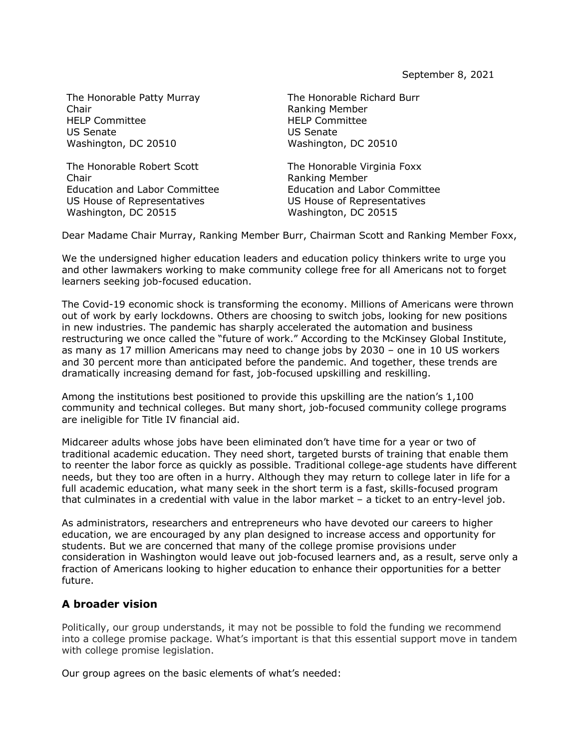The Honorable Patty Murray Chair HELP Committee US Senate Washington, DC 20510

The Honorable Robert Scott Chair Education and Labor Committee US House of Representatives Washington, DC 20515

The Honorable Richard Burr Ranking Member HELP Committee US Senate Washington, DC 20510

The Honorable Virginia Foxx Ranking Member Education and Labor Committee US House of Representatives Washington, DC 20515

Dear Madame Chair Murray, Ranking Member Burr, Chairman Scott and Ranking Member Foxx,

We the undersigned higher education leaders and education policy thinkers write to urge you and other lawmakers working to make community college free for all Americans not to forget learners seeking job-focused education.

The Covid-19 economic shock is transforming the economy. Millions of Americans were thrown out of work by early lockdowns. Others are choosing to switch jobs, looking for new positions in new industries. The pandemic has sharply accelerated the automation and business restructuring we once called the "future of work." According to the McKinsey Global Institute, as many as 17 million Americans may need to change jobs by 2030 – one in 10 US workers and 30 percent more than anticipated before the pandemic. And together, these trends are dramatically increasing demand for fast, job-focused upskilling and reskilling.

Among the institutions best positioned to provide this upskilling are the nation's 1,100 community and technical colleges. But many short, job-focused community college programs are ineligible for Title IV financial aid.

Midcareer adults whose jobs have been eliminated don't have time for a year or two of traditional academic education. They need short, targeted bursts of training that enable them to reenter the labor force as quickly as possible. Traditional college-age students have different needs, but they too are often in a hurry. Although they may return to college later in life for a full academic education, what many seek in the short term is a fast, skills-focused program that culminates in a credential with value in the labor market – a ticket to an entry-level job.

As administrators, researchers and entrepreneurs who have devoted our careers to higher education, we are encouraged by any plan designed to increase access and opportunity for students. But we are concerned that many of the college promise provisions under consideration in Washington would leave out job-focused learners and, as a result, serve only a fraction of Americans looking to higher education to enhance their opportunities for a better future.

## **A broader vision**

Politically, our group understands, it may not be possible to fold the funding we recommend into a college promise package. What's important is that this essential support move in tandem with college promise legislation.

Our group agrees on the basic elements of what's needed: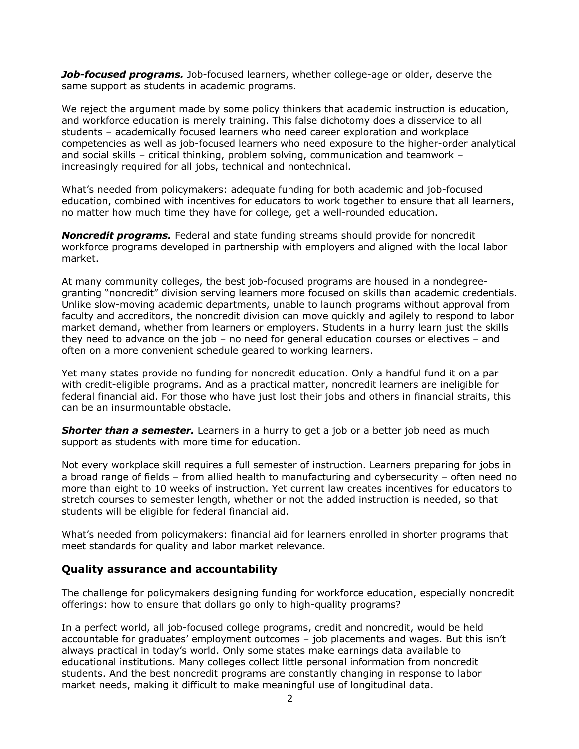*Job-focused programs.* Job-focused learners, whether college-age or older, deserve the same support as students in academic programs.

We reject the argument made by some policy thinkers that academic instruction is education, and workforce education is merely training. This false dichotomy does a disservice to all students – academically focused learners who need career exploration and workplace competencies as well as job-focused learners who need exposure to the higher-order analytical and social skills – critical thinking, problem solving, communication and teamwork – increasingly required for all jobs, technical and nontechnical.

What's needed from policymakers: adequate funding for both academic and job-focused education, combined with incentives for educators to work together to ensure that all learners, no matter how much time they have for college, get a well-rounded education.

*Noncredit programs.* Federal and state funding streams should provide for noncredit workforce programs developed in partnership with employers and aligned with the local labor market.

At many community colleges, the best job-focused programs are housed in a nondegreegranting "noncredit" division serving learners more focused on skills than academic credentials. Unlike slow-moving academic departments, unable to launch programs without approval from faculty and accreditors, the noncredit division can move quickly and agilely to respond to labor market demand, whether from learners or employers. Students in a hurry learn just the skills they need to advance on the job – no need for general education courses or electives – and often on a more convenient schedule geared to working learners.

Yet many states provide no funding for noncredit education. Only a handful fund it on a par with credit-eligible programs. And as a practical matter, noncredit learners are ineligible for federal financial aid. For those who have just lost their jobs and others in financial straits, this can be an insurmountable obstacle.

**Shorter than a semester.** Learners in a hurry to get a job or a better job need as much support as students with more time for education.

Not every workplace skill requires a full semester of instruction. Learners preparing for jobs in a broad range of fields – from allied health to manufacturing and cybersecurity – often need no more than eight to 10 weeks of instruction. Yet current law creates incentives for educators to stretch courses to semester length, whether or not the added instruction is needed, so that students will be eligible for federal financial aid.

What's needed from policymakers: financial aid for learners enrolled in shorter programs that meet standards for quality and labor market relevance.

## **Quality assurance and accountability**

The challenge for policymakers designing funding for workforce education, especially noncredit offerings: how to ensure that dollars go only to high-quality programs?

In a perfect world, all job-focused college programs, credit and noncredit, would be held accountable for graduates' employment outcomes – job placements and wages. But this isn't always practical in today's world. Only some states make earnings data available to educational institutions. Many colleges collect little personal information from noncredit students. And the best noncredit programs are constantly changing in response to labor market needs, making it difficult to make meaningful use of longitudinal data.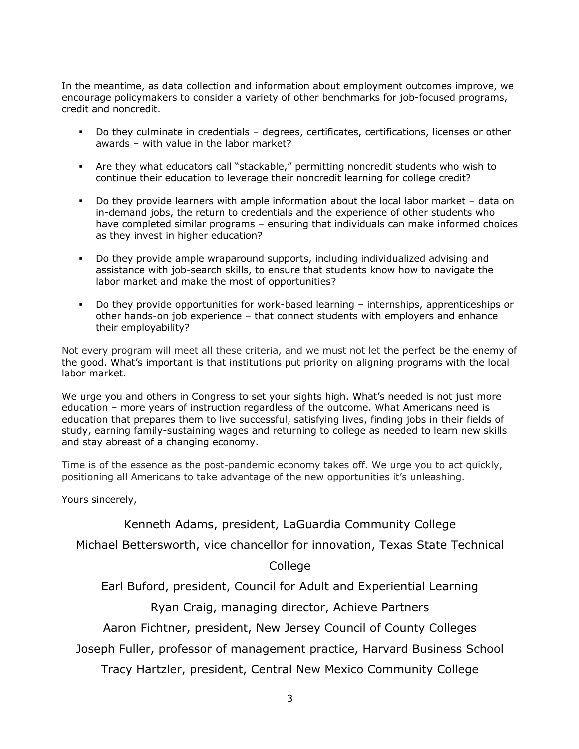In the meantime, as data collection and information about employment outcomes improve, we encourage policymakers to consider a variety of other benchmarks for job-focused programs, credit and noncredit.

- § Do they culminate in credentials degrees, certificates, certifications, licenses or other awards – with value in the labor market?
- § Are they what educators call "stackable," permitting noncredit students who wish to continue their education to leverage their noncredit learning for college credit?
- § Do they provide learners with ample information about the local labor market data on in-demand jobs, the return to credentials and the experience of other students who have completed similar programs – ensuring that individuals can make informed choices as they invest in higher education?
- § Do they provide ample wraparound supports, including individualized advising and assistance with job-search skills, to ensure that students know how to navigate the labor market and make the most of opportunities?
- § Do they provide opportunities for work-based learning internships, apprenticeships or other hands-on job experience – that connect students with employers and enhance their employability?

Not every program will meet all these criteria, and we must not let the perfect be the enemy of the good. What's important is that institutions put priority on aligning programs with the local labor market.

We urge you and others in Congress to set your sights high. What's needed is not just more education – more years of instruction regardless of the outcome. What Americans need is education that prepares them to live successful, satisfying lives, finding jobs in their fields of study, earning family-sustaining wages and returning to college as needed to learn new skills and stay abreast of a changing economy.

Time is of the essence as the post-pandemic economy takes off. We urge you to act quickly, positioning all Americans to take advantage of the new opportunities it's unleashing.

Yours sincerely,

## Kenneth Adams, president, LaGuardia Community College

Michael Bettersworth, vice chancellor for innovation, Texas State Technical

College

Earl Buford, president, Council for Adult and Experiential Learning

Ryan Craig, managing director, Achieve Partners

Aaron Fichtner, president, New Jersey Council of County Colleges

Joseph Fuller, professor of management practice, Harvard Business School

Tracy Hartzler, president, Central New Mexico Community College